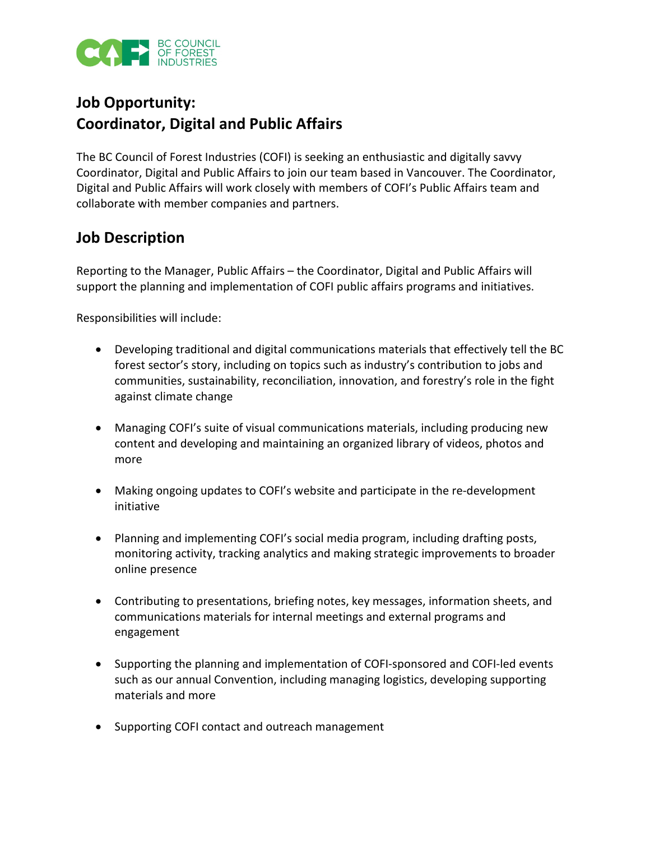

## **Job Opportunity: Coordinator, Digital and Public Affairs**

The BC Council of Forest Industries (COFI) is seeking an enthusiastic and digitally savvy Coordinator, Digital and Public Affairs to join our team based in Vancouver. The Coordinator, Digital and Public Affairs will work closely with members of COFI's Public Affairs team and collaborate with member companies and partners.

## **Job Description**

Reporting to the Manager, Public Affairs – the Coordinator, Digital and Public Affairs will support the planning and implementation of COFI public affairs programs and initiatives.

Responsibilities will include:

- Developing traditional and digital communications materials that effectively tell the BC forest sector's story, including on topics such as industry's contribution to jobs and communities, sustainability, reconciliation, innovation, and forestry's role in the fight against climate change
- Managing COFI's suite of visual communications materials, including producing new content and developing and maintaining an organized library of videos, photos and more
- Making ongoing updates to COFI's website and participate in the re-development initiative
- Planning and implementing COFI's social media program, including drafting posts, monitoring activity, tracking analytics and making strategic improvements to broader online presence
- Contributing to presentations, briefing notes, key messages, information sheets, and communications materials for internal meetings and external programs and engagement
- Supporting the planning and implementation of COFI-sponsored and COFI-led events such as our annual Convention, including managing logistics, developing supporting materials and more
- Supporting COFI contact and outreach management